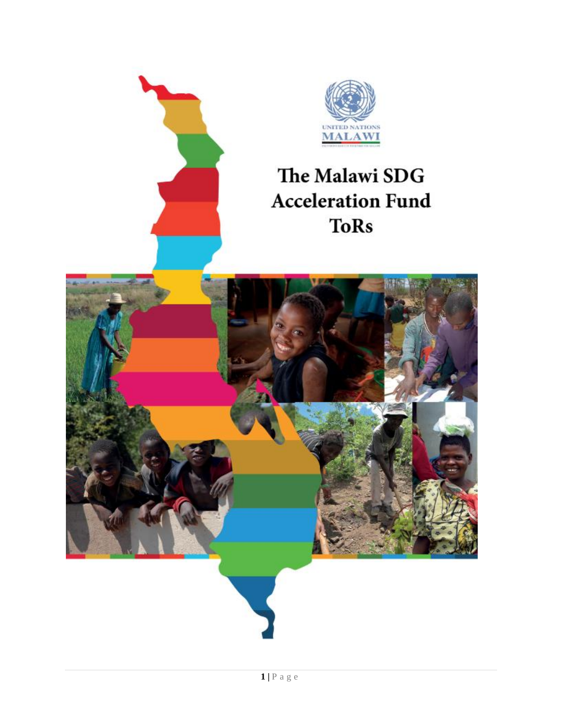

# The Malawi SDG **Acceleration Fund ToRs**

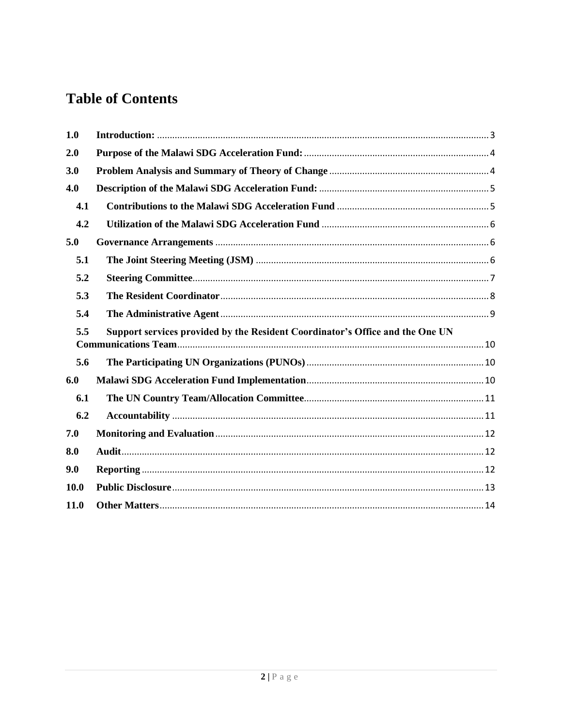## **Table of Contents**

| 1.0  |                                                                               |
|------|-------------------------------------------------------------------------------|
| 2.0  |                                                                               |
| 3.0  |                                                                               |
| 4.0  |                                                                               |
| 4.1  |                                                                               |
| 4.2  |                                                                               |
| 5.0  |                                                                               |
| 5.1  |                                                                               |
| 5.2  |                                                                               |
| 5.3  |                                                                               |
| 5.4  |                                                                               |
| 5.5  | Support services provided by the Resident Coordinator's Office and the One UN |
| 5.6  |                                                                               |
| 6.0  |                                                                               |
| 6.1  |                                                                               |
| 6.2  |                                                                               |
| 7.0  |                                                                               |
| 8.0  |                                                                               |
| 9.0  |                                                                               |
| 10.0 |                                                                               |
| 11.0 |                                                                               |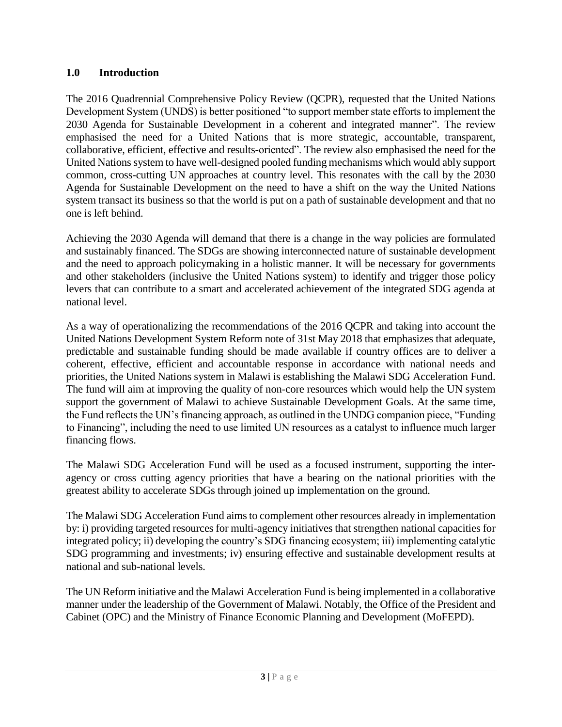## <span id="page-2-0"></span>**1.0 Introduction**

The 2016 Quadrennial Comprehensive Policy Review (QCPR), requested that the United Nations Development System (UNDS) is better positioned "to support member state efforts to implement the 2030 Agenda for Sustainable Development in a coherent and integrated manner". The review emphasised the need for a United Nations that is more strategic, accountable, transparent, collaborative, efficient, effective and results-oriented". The review also emphasised the need for the United Nations system to have well-designed pooled funding mechanisms which would ably support common, cross-cutting UN approaches at country level. This resonates with the call by the 2030 Agenda for Sustainable Development on the need to have a shift on the way the United Nations system transact its business so that the world is put on a path of sustainable development and that no one is left behind.

Achieving the 2030 Agenda will demand that there is a change in the way policies are formulated and sustainably financed. The SDGs are showing interconnected nature of sustainable development and the need to approach policymaking in a holistic manner. It will be necessary for governments and other stakeholders (inclusive the United Nations system) to identify and trigger those policy levers that can contribute to a smart and accelerated achievement of the integrated SDG agenda at national level.

As a way of operationalizing the recommendations of the 2016 QCPR and taking into account the United Nations Development System Reform note of 31st May 2018 that emphasizes that adequate, predictable and sustainable funding should be made available if country offices are to deliver a coherent, effective, efficient and accountable response in accordance with national needs and priorities, the United Nations system in Malawi is establishing the Malawi SDG Acceleration Fund. The fund will aim at improving the quality of non-core resources which would help the UN system support the government of Malawi to achieve Sustainable Development Goals. At the same time, the Fund reflects the UN's financing approach, as outlined in the UNDG companion piece, "Funding to Financing", including the need to use limited UN resources as a catalyst to influence much larger financing flows.

The Malawi SDG Acceleration Fund will be used as a focused instrument, supporting the interagency or cross cutting agency priorities that have a bearing on the national priorities with the greatest ability to accelerate SDGs through joined up implementation on the ground.

The Malawi SDG Acceleration Fund aimsto complement other resources already in implementation by: i) providing targeted resources for multi-agency initiatives that strengthen national capacities for integrated policy; ii) developing the country's SDG financing ecosystem; iii) implementing catalytic SDG programming and investments; iv) ensuring effective and sustainable development results at national and sub-national levels.

The UN Reform initiative and the Malawi Acceleration Fund is being implemented in a collaborative manner under the leadership of the Government of Malawi. Notably, the Office of the President and Cabinet (OPC) and the Ministry of Finance Economic Planning and Development (MoFEPD).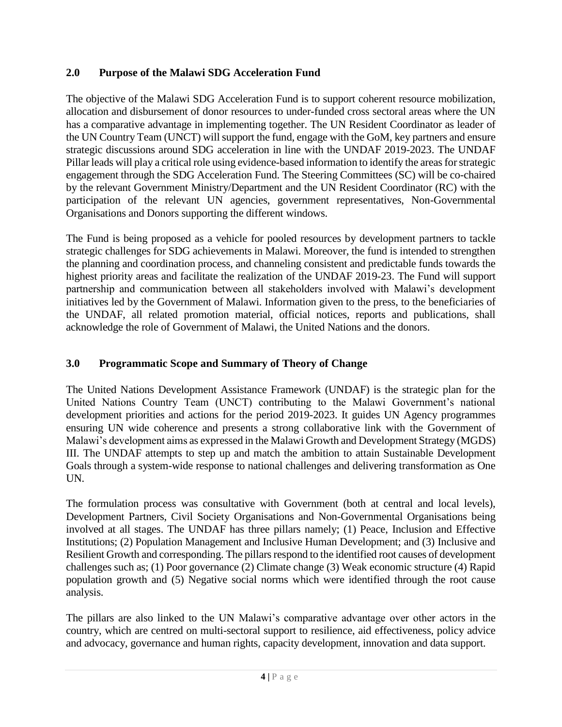## <span id="page-3-0"></span>**2.0 Purpose of the Malawi SDG Acceleration Fund**

The objective of the Malawi SDG Acceleration Fund is to support coherent resource mobilization, allocation and disbursement of donor resources to under-funded cross sectoral areas where the UN has a comparative advantage in implementing together. The UN Resident Coordinator as leader of the UN Country Team (UNCT) will support the fund, engage with the GoM, key partners and ensure strategic discussions around SDG acceleration in line with the UNDAF 2019-2023. The UNDAF Pillar leads will play a critical role using evidence-based information to identify the areas for strategic engagement through the SDG Acceleration Fund. The Steering Committees (SC) will be co-chaired by the relevant Government Ministry/Department and the UN Resident Coordinator (RC) with the participation of the relevant UN agencies, government representatives, Non-Governmental Organisations and Donors supporting the different windows.

The Fund is being proposed as a vehicle for pooled resources by development partners to tackle strategic challenges for SDG achievements in Malawi. Moreover, the fund is intended to strengthen the planning and coordination process, and channeling consistent and predictable funds towards the highest priority areas and facilitate the realization of the UNDAF 2019-23. The Fund will support partnership and communication between all stakeholders involved with Malawi's development initiatives led by the Government of Malawi. Information given to the press, to the beneficiaries of the UNDAF, all related promotion material, official notices, reports and publications, shall acknowledge the role of Government of Malawi, the United Nations and the donors.

## <span id="page-3-1"></span>**3.0 Programmatic Scope and Summary of Theory of Change**

The United Nations Development Assistance Framework (UNDAF) is the strategic plan for the United Nations Country Team (UNCT) contributing to the Malawi Government's national development priorities and actions for the period 2019-2023. It guides UN Agency programmes ensuring UN wide coherence and presents a strong collaborative link with the Government of Malawi's development aims as expressed in the Malawi Growth and Development Strategy (MGDS) III. The UNDAF attempts to step up and match the ambition to attain Sustainable Development Goals through a system-wide response to national challenges and delivering transformation as One UN.

The formulation process was consultative with Government (both at central and local levels), Development Partners, Civil Society Organisations and Non-Governmental Organisations being involved at all stages. The UNDAF has three pillars namely; (1) Peace, Inclusion and Effective Institutions; (2) Population Management and Inclusive Human Development; and (3) Inclusive and Resilient Growth and corresponding. The pillars respond to the identified root causes of development challenges such as; (1) Poor governance (2) Climate change (3) Weak economic structure (4) Rapid population growth and (5) Negative social norms which were identified through the root cause analysis.

The pillars are also linked to the UN Malawi's comparative advantage over other actors in the country, which are centred on multi-sectoral support to resilience, aid effectiveness, policy advice and advocacy, governance and human rights, capacity development, innovation and data support.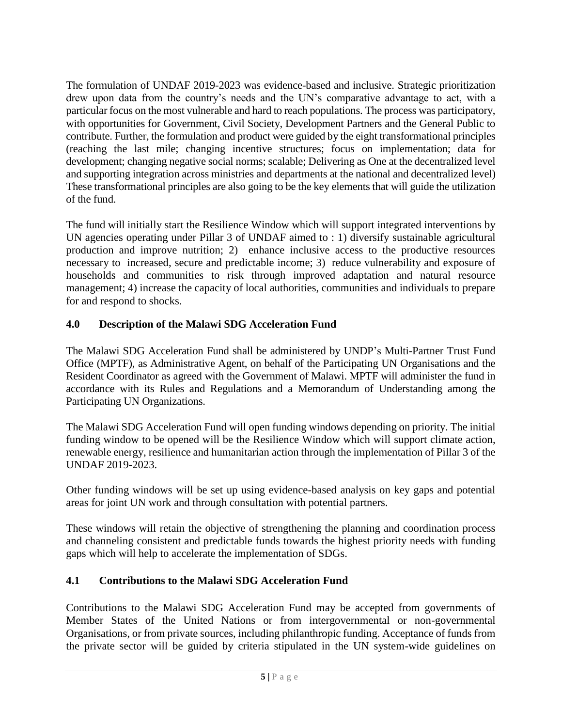The formulation of UNDAF 2019-2023 was evidence-based and inclusive. Strategic prioritization drew upon data from the country's needs and the UN's comparative advantage to act, with a particular focus on the most vulnerable and hard to reach populations. The process was participatory, with opportunities for Government, Civil Society, Development Partners and the General Public to contribute. Further, the formulation and product were guided by the eight transformational principles (reaching the last mile; changing incentive structures; focus on implementation; data for development; changing negative social norms; scalable; Delivering as One at the decentralized level and supporting integration across ministries and departments at the national and decentralized level) These transformational principles are also going to be the key elements that will guide the utilization of the fund.

The fund will initially start the Resilience Window which will support integrated interventions by UN agencies operating under Pillar 3 of UNDAF aimed to : 1) diversify sustainable agricultural production and improve nutrition; 2) enhance inclusive access to the productive resources necessary to increased, secure and predictable income; 3) reduce vulnerability and exposure of households and communities to risk through improved adaptation and natural resource management; 4) increase the capacity of local authorities, communities and individuals to prepare for and respond to shocks.

## <span id="page-4-0"></span>**4.0 Description of the Malawi SDG Acceleration Fund**

The Malawi SDG Acceleration Fund shall be administered by UNDP's Multi-Partner Trust Fund Office (MPTF), as Administrative Agent, on behalf of the Participating UN Organisations and the Resident Coordinator as agreed with the Government of Malawi. MPTF will administer the fund in accordance with its Rules and Regulations and a Memorandum of Understanding among the Participating UN Organizations.

The Malawi SDG Acceleration Fund will open funding windows depending on priority. The initial funding window to be opened will be the Resilience Window which will support climate action, renewable energy, resilience and humanitarian action through the implementation of Pillar 3 of the UNDAF 2019-2023.

Other funding windows will be set up using evidence-based analysis on key gaps and potential areas for joint UN work and through consultation with potential partners.

These windows will retain the objective of strengthening the planning and coordination process and channeling consistent and predictable funds towards the highest priority needs with funding gaps which will help to accelerate the implementation of SDGs.

## <span id="page-4-1"></span>**4.1 Contributions to the Malawi SDG Acceleration Fund**

Contributions to the Malawi SDG Acceleration Fund may be accepted from governments of Member States of the United Nations or from intergovernmental or non-governmental Organisations, or from private sources, including philanthropic funding. Acceptance of funds from the private sector will be guided by criteria stipulated in the UN system-wide guidelines on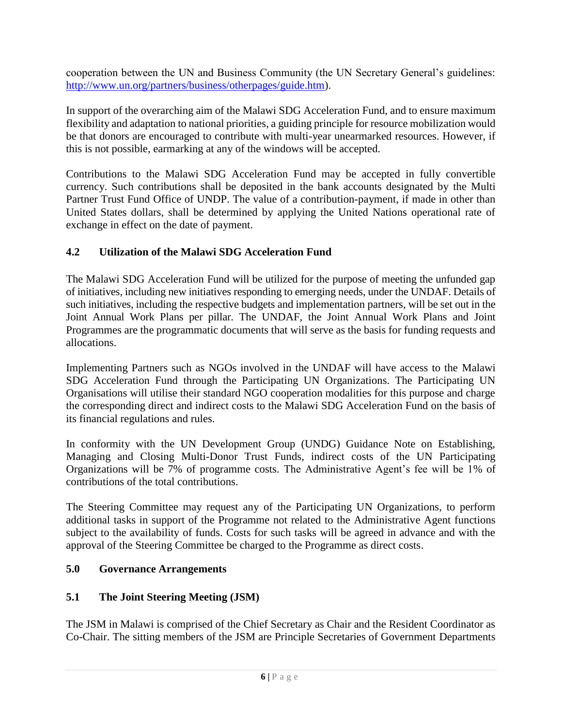cooperation between the UN and Business Community (the UN Secretary General's guidelines: [http://www.un.org/partners/business/otherpages/guide.htm\)](http://www.un.org/partners/business/otherpages/guide.htm).

In support of the overarching aim of the Malawi SDG Acceleration Fund, and to ensure maximum flexibility and adaptation to national priorities, a guiding principle for resource mobilization would be that donors are encouraged to contribute with multi-year unearmarked resources. However, if this is not possible, earmarking at any of the windows will be accepted.

Contributions to the Malawi SDG Acceleration Fund may be accepted in fully convertible currency. Such contributions shall be deposited in the bank accounts designated by the Multi Partner Trust Fund Office of UNDP. The value of a contribution-payment, if made in other than United States dollars, shall be determined by applying the United Nations operational rate of exchange in effect on the date of payment.

## <span id="page-5-0"></span>**4.2 Utilization of the Malawi SDG Acceleration Fund**

The Malawi SDG Acceleration Fund will be utilized for the purpose of meeting the unfunded gap of initiatives, including new initiatives responding to emerging needs, under the UNDAF. Details of such initiatives, including the respective budgets and implementation partners, will be set out in the Joint Annual Work Plans per pillar. The UNDAF, the Joint Annual Work Plans and Joint Programmes are the programmatic documents that will serve as the basis for funding requests and allocations.

Implementing Partners such as NGOs involved in the UNDAF will have access to the Malawi SDG Acceleration Fund through the Participating UN Organizations. The Participating UN Organisations will utilise their standard NGO cooperation modalities for this purpose and charge the corresponding direct and indirect costs to the Malawi SDG Acceleration Fund on the basis of its financial regulations and rules.

In conformity with the UN Development Group (UNDG) Guidance Note on Establishing, Managing and Closing Multi-Donor Trust Funds, indirect costs of the UN Participating Organizations will be 7% of programme costs. The Administrative Agent's fee will be 1% of contributions of the total contributions.

The Steering Committee may request any of the Participating UN Organizations, to perform additional tasks in support of the Programme not related to the Administrative Agent functions subject to the availability of funds. Costs for such tasks will be agreed in advance and with the approval of the Steering Committee be charged to the Programme as direct costs.

## <span id="page-5-1"></span>**5.0 Governance Arrangements**

## <span id="page-5-2"></span>**5.1 The Joint Steering Meeting (JSM)**

The JSM in Malawi is comprised of the Chief Secretary as Chair and the Resident Coordinator as Co-Chair. The sitting members of the JSM are Principle Secretaries of Government Departments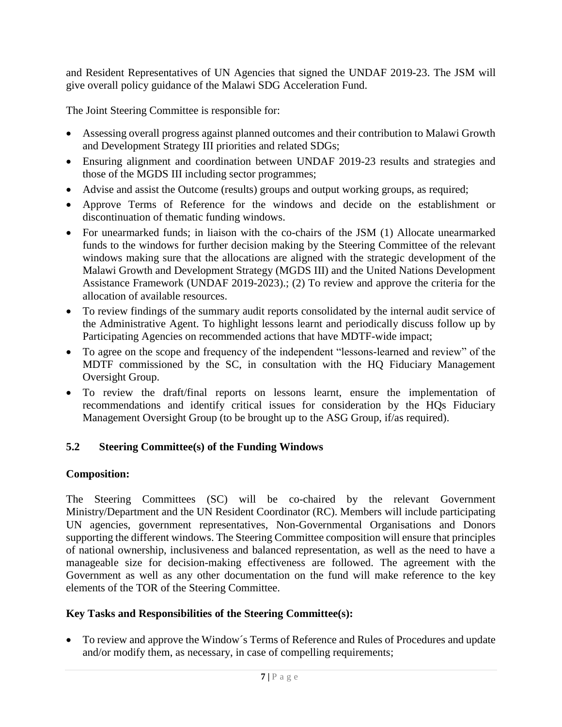and Resident Representatives of UN Agencies that signed the UNDAF 2019-23. The JSM will give overall policy guidance of the Malawi SDG Acceleration Fund.

The Joint Steering Committee is responsible for:

- Assessing overall progress against planned outcomes and their contribution to Malawi Growth and Development Strategy III priorities and related SDGs;
- Ensuring alignment and coordination between UNDAF 2019-23 results and strategies and those of the MGDS III including sector programmes;
- Advise and assist the Outcome (results) groups and output working groups, as required;
- Approve Terms of Reference for the windows and decide on the establishment or discontinuation of thematic funding windows.
- For unearmarked funds; in liaison with the co-chairs of the JSM (1) Allocate unearmarked funds to the windows for further decision making by the Steering Committee of the relevant windows making sure that the allocations are aligned with the strategic development of the Malawi Growth and Development Strategy (MGDS III) and the United Nations Development Assistance Framework (UNDAF 2019-2023).; (2) To review and approve the criteria for the allocation of available resources.
- To review findings of the summary audit reports consolidated by the internal audit service of the Administrative Agent. To highlight lessons learnt and periodically discuss follow up by Participating Agencies on recommended actions that have MDTF-wide impact;
- To agree on the scope and frequency of the independent "lessons-learned and review" of the MDTF commissioned by the SC, in consultation with the HQ Fiduciary Management Oversight Group.
- To review the draft/final reports on lessons learnt, ensure the implementation of recommendations and identify critical issues for consideration by the HQs Fiduciary Management Oversight Group (to be brought up to the ASG Group, if/as required).

## <span id="page-6-0"></span>**5.2 Steering Committee(s) of the Funding Windows**

## **Composition:**

The Steering Committees (SC) will be co-chaired by the relevant Government Ministry/Department and the UN Resident Coordinator (RC). Members will include participating UN agencies, government representatives, Non-Governmental Organisations and Donors supporting the different windows. The Steering Committee composition will ensure that principles of national ownership, inclusiveness and balanced representation, as well as the need to have a manageable size for decision-making effectiveness are followed. The agreement with the Government as well as any other documentation on the fund will make reference to the key elements of the TOR of the Steering Committee.

## **Key Tasks and Responsibilities of the Steering Committee(s):**

• To review and approve the Window´s Terms of Reference and Rules of Procedures and update and/or modify them, as necessary, in case of compelling requirements;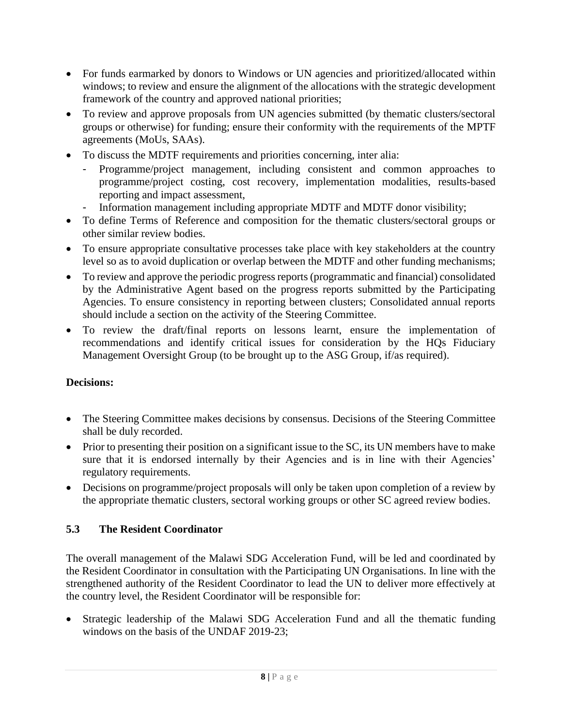- For funds earmarked by donors to Windows or UN agencies and prioritized/allocated within windows; to review and ensure the alignment of the allocations with the strategic development framework of the country and approved national priorities;
- To review and approve proposals from UN agencies submitted (by thematic clusters/sectoral groups or otherwise) for funding; ensure their conformity with the requirements of the MPTF agreements (MoUs, SAAs).
- To discuss the MDTF requirements and priorities concerning, inter alia:
	- Programme/project management, including consistent and common approaches to programme/project costing, cost recovery, implementation modalities, results-based reporting and impact assessment,
	- Information management including appropriate MDTF and MDTF donor visibility;
- To define Terms of Reference and composition for the thematic clusters/sectoral groups or other similar review bodies.
- To ensure appropriate consultative processes take place with key stakeholders at the country level so as to avoid duplication or overlap between the MDTF and other funding mechanisms;
- To review and approve the periodic progress reports (programmatic and financial) consolidated by the Administrative Agent based on the progress reports submitted by the Participating Agencies. To ensure consistency in reporting between clusters; Consolidated annual reports should include a section on the activity of the Steering Committee.
- To review the draft/final reports on lessons learnt, ensure the implementation of recommendations and identify critical issues for consideration by the HQs Fiduciary Management Oversight Group (to be brought up to the ASG Group, if/as required).

## **Decisions:**

- The Steering Committee makes decisions by consensus. Decisions of the Steering Committee shall be duly recorded.
- Prior to presenting their position on a significant issue to the SC, its UN members have to make sure that it is endorsed internally by their Agencies and is in line with their Agencies' regulatory requirements.
- Decisions on programme/project proposals will only be taken upon completion of a review by the appropriate thematic clusters, sectoral working groups or other SC agreed review bodies.

## <span id="page-7-0"></span>**5.3 The Resident Coordinator**

The overall management of the Malawi SDG Acceleration Fund, will be led and coordinated by the Resident Coordinator in consultation with the Participating UN Organisations. In line with the strengthened authority of the Resident Coordinator to lead the UN to deliver more effectively at the country level, the Resident Coordinator will be responsible for:

Strategic leadership of the Malawi SDG Acceleration Fund and all the thematic funding windows on the basis of the UNDAF 2019-23;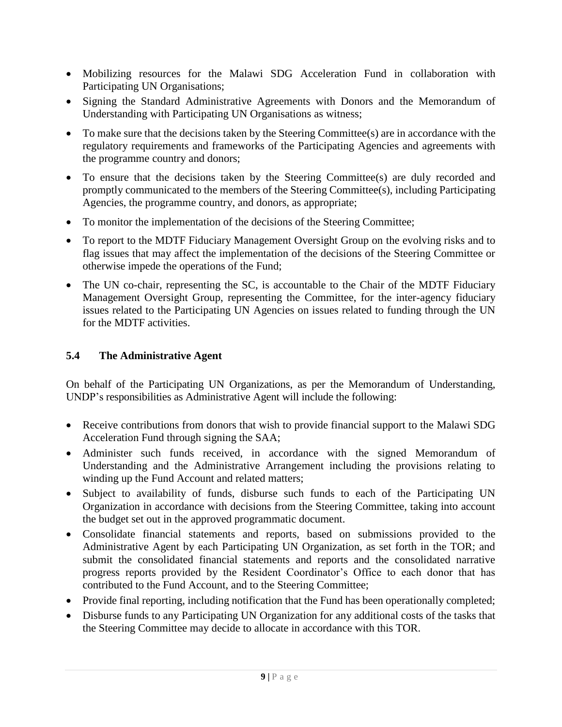- Mobilizing resources for the Malawi SDG Acceleration Fund in collaboration with Participating UN Organisations;
- Signing the Standard Administrative Agreements with Donors and the Memorandum of Understanding with Participating UN Organisations as witness;
- To make sure that the decisions taken by the Steering Committee(s) are in accordance with the regulatory requirements and frameworks of the Participating Agencies and agreements with the programme country and donors;
- To ensure that the decisions taken by the Steering Committee(s) are duly recorded and promptly communicated to the members of the Steering Committee(s), including Participating Agencies, the programme country, and donors, as appropriate;
- To monitor the implementation of the decisions of the Steering Committee;
- To report to the MDTF Fiduciary Management Oversight Group on the evolving risks and to flag issues that may affect the implementation of the decisions of the Steering Committee or otherwise impede the operations of the Fund;
- The UN co-chair, representing the SC, is accountable to the Chair of the MDTF Fiduciary Management Oversight Group, representing the Committee, for the inter-agency fiduciary issues related to the Participating UN Agencies on issues related to funding through the UN for the MDTF activities.

## <span id="page-8-0"></span>**5.4 The Administrative Agent**

On behalf of the Participating UN Organizations, as per the Memorandum of Understanding, UNDP's responsibilities as Administrative Agent will include the following:

- Receive contributions from donors that wish to provide financial support to the Malawi SDG Acceleration Fund through signing the SAA;
- Administer such funds received, in accordance with the signed Memorandum of Understanding and the Administrative Arrangement including the provisions relating to winding up the Fund Account and related matters;
- Subject to availability of funds, disburse such funds to each of the Participating UN Organization in accordance with decisions from the Steering Committee, taking into account the budget set out in the approved programmatic document.
- Consolidate financial statements and reports, based on submissions provided to the Administrative Agent by each Participating UN Organization, as set forth in the TOR; and submit the consolidated financial statements and reports and the consolidated narrative progress reports provided by the Resident Coordinator's Office to each donor that has contributed to the Fund Account, and to the Steering Committee;
- Provide final reporting, including notification that the Fund has been operationally completed;
- Disburse funds to any Participating UN Organization for any additional costs of the tasks that the Steering Committee may decide to allocate in accordance with this TOR.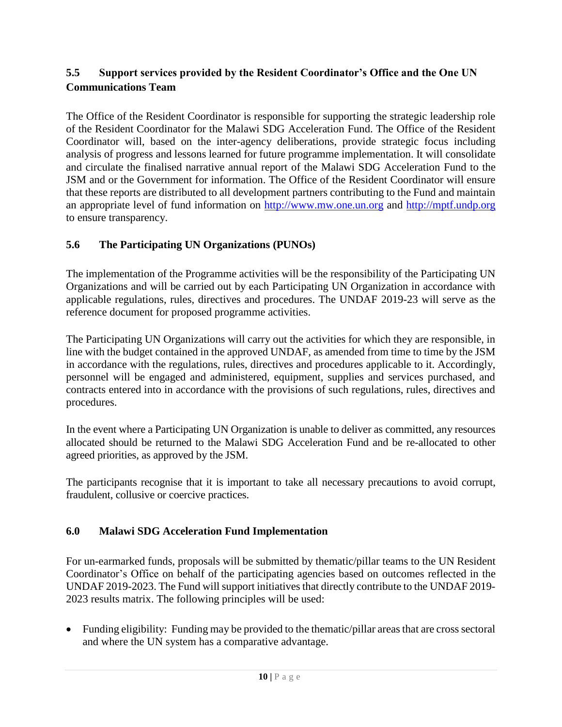## <span id="page-9-0"></span>**5.5 Support services provided by the Resident Coordinator's Office and the One UN Communications Team**

The Office of the Resident Coordinator is responsible for supporting the strategic leadership role of the Resident Coordinator for the Malawi SDG Acceleration Fund. The Office of the Resident Coordinator will, based on the inter-agency deliberations, provide strategic focus including analysis of progress and lessons learned for future programme implementation. It will consolidate and circulate the finalised narrative annual report of the Malawi SDG Acceleration Fund to the JSM and or the Government for information. The Office of the Resident Coordinator will ensure that these reports are distributed to all development partners contributing to the Fund and maintain an appropriate level of fund information on [http://www.mw.one.un.org](http://www.mw.one.un.org/) and [http://mptf.undp.org](http://mptf.undp.org/) to ensure transparency.

## <span id="page-9-1"></span>**5.6 The Participating UN Organizations (PUNOs)**

The implementation of the Programme activities will be the responsibility of the Participating UN Organizations and will be carried out by each Participating UN Organization in accordance with applicable regulations, rules, directives and procedures. The UNDAF 2019-23 will serve as the reference document for proposed programme activities.

The Participating UN Organizations will carry out the activities for which they are responsible, in line with the budget contained in the approved UNDAF, as amended from time to time by the JSM in accordance with the regulations, rules, directives and procedures applicable to it. Accordingly, personnel will be engaged and administered, equipment, supplies and services purchased, and contracts entered into in accordance with the provisions of such regulations, rules, directives and procedures.

In the event where a Participating UN Organization is unable to deliver as committed, any resources allocated should be returned to the Malawi SDG Acceleration Fund and be re-allocated to other agreed priorities, as approved by the JSM.

The participants recognise that it is important to take all necessary precautions to avoid corrupt, fraudulent, collusive or coercive practices.

## <span id="page-9-2"></span>**6.0 Malawi SDG Acceleration Fund Implementation**

For un-earmarked funds, proposals will be submitted by thematic/pillar teams to the UN Resident Coordinator's Office on behalf of the participating agencies based on outcomes reflected in the UNDAF 2019-2023. The Fund will support initiatives that directly contribute to the UNDAF 2019- 2023 results matrix. The following principles will be used:

• Funding eligibility: Funding may be provided to the thematic/pillar areas that are cross sectoral and where the UN system has a comparative advantage.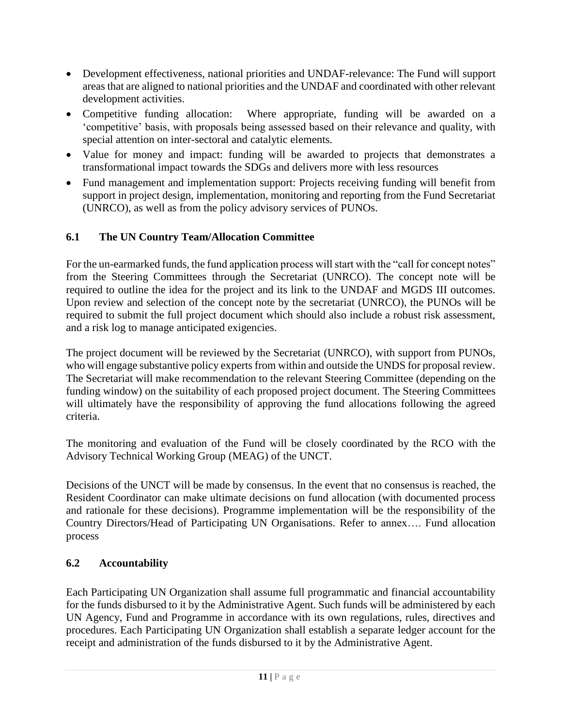- Development effectiveness, national priorities and UNDAF-relevance: The Fund will support areas that are aligned to national priorities and the UNDAF and coordinated with other relevant development activities.
- Competitive funding allocation: Where appropriate, funding will be awarded on a 'competitive' basis, with proposals being assessed based on their relevance and quality, with special attention on inter-sectoral and catalytic elements.
- Value for money and impact: funding will be awarded to projects that demonstrates a transformational impact towards the SDGs and delivers more with less resources
- Fund management and implementation support: Projects receiving funding will benefit from support in project design, implementation, monitoring and reporting from the Fund Secretariat (UNRCO), as well as from the policy advisory services of PUNOs.

## <span id="page-10-0"></span>**6.1 The UN Country Team/Allocation Committee**

For the un-earmarked funds, the fund application process will start with the "call for concept notes" from the Steering Committees through the Secretariat (UNRCO). The concept note will be required to outline the idea for the project and its link to the UNDAF and MGDS III outcomes. Upon review and selection of the concept note by the secretariat (UNRCO), the PUNOs will be required to submit the full project document which should also include a robust risk assessment, and a risk log to manage anticipated exigencies.

The project document will be reviewed by the Secretariat (UNRCO), with support from PUNOs, who will engage substantive policy experts from within and outside the UNDS for proposal review. The Secretariat will make recommendation to the relevant Steering Committee (depending on the funding window) on the suitability of each proposed project document. The Steering Committees will ultimately have the responsibility of approving the fund allocations following the agreed criteria.

The monitoring and evaluation of the Fund will be closely coordinated by the RCO with the Advisory Technical Working Group (MEAG) of the UNCT.

Decisions of the UNCT will be made by consensus. In the event that no consensus is reached, the Resident Coordinator can make ultimate decisions on fund allocation (with documented process and rationale for these decisions). Programme implementation will be the responsibility of the Country Directors/Head of Participating UN Organisations. Refer to annex…. Fund allocation process

## <span id="page-10-1"></span>**6.2 Accountability**

Each Participating UN Organization shall assume full programmatic and financial accountability for the funds disbursed to it by the Administrative Agent. Such funds will be administered by each UN Agency, Fund and Programme in accordance with its own regulations, rules, directives and procedures. Each Participating UN Organization shall establish a separate ledger account for the receipt and administration of the funds disbursed to it by the Administrative Agent.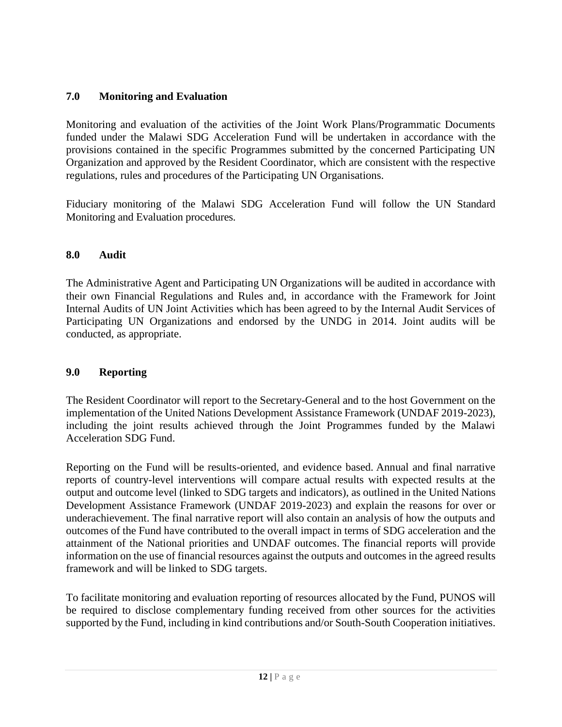## <span id="page-11-0"></span>**7.0 Monitoring and Evaluation**

Monitoring and evaluation of the activities of the Joint Work Plans/Programmatic Documents funded under the Malawi SDG Acceleration Fund will be undertaken in accordance with the provisions contained in the specific Programmes submitted by the concerned Participating UN Organization and approved by the Resident Coordinator, which are consistent with the respective regulations, rules and procedures of the Participating UN Organisations.

Fiduciary monitoring of the Malawi SDG Acceleration Fund will follow the UN Standard Monitoring and Evaluation procedures.

## <span id="page-11-1"></span>**8.0 Audit**

The Administrative Agent and Participating UN Organizations will be audited in accordance with their own Financial Regulations and Rules and, in accordance with the [Framework for Joint](http://mptf.undp.org/document/download/13486)  [Internal Audits of UN Joint Activities](http://mptf.undp.org/document/download/13486) which has been agreed to by the Internal Audit Services of Participating UN Organizations and endorsed by the UNDG in 2014. Joint audits will be conducted, as appropriate.

## <span id="page-11-2"></span>**9.0 Reporting**

The Resident Coordinator will report to the Secretary-General and to the host Government on the implementation of the United Nations Development Assistance Framework (UNDAF 2019-2023), including the joint results achieved through the Joint Programmes funded by the Malawi Acceleration SDG Fund.

Reporting on the Fund will be results-oriented, and evidence based. Annual and final narrative reports of country-level interventions will compare actual results with expected results at the output and outcome level (linked to SDG targets and indicators), as outlined in the United Nations Development Assistance Framework (UNDAF 2019-2023) and explain the reasons for over or underachievement. The final narrative report will also contain an analysis of how the outputs and outcomes of the Fund have contributed to the overall impact in terms of SDG acceleration and the attainment of the National priorities and UNDAF outcomes. The financial reports will provide information on the use of financial resources against the outputs and outcomes in the agreed results framework and will be linked to SDG targets.

To facilitate monitoring and evaluation reporting of resources allocated by the Fund, PUNOS will be required to disclose complementary funding received from other sources for the activities supported by the Fund, including in kind contributions and/or South-South Cooperation initiatives.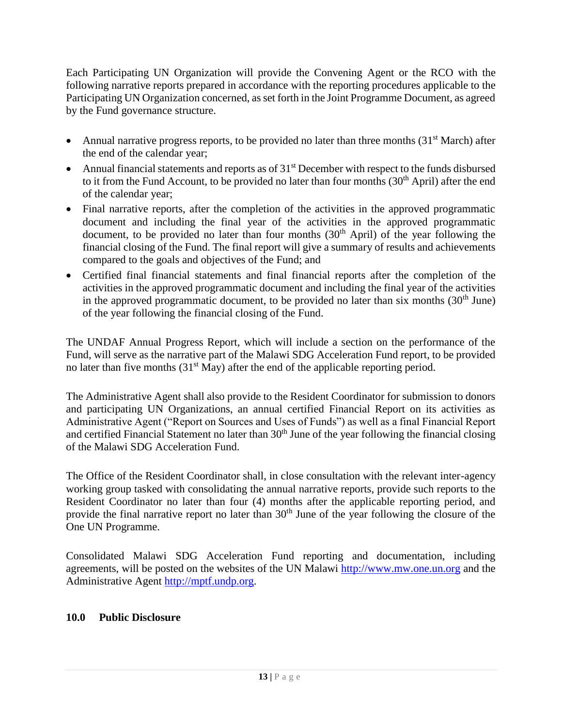Each Participating UN Organization will provide the Convening Agent or the RCO with the following narrative reports prepared in accordance with the reporting procedures applicable to the Participating UN Organization concerned, as set forth in the Joint Programme Document, as agreed by the Fund governance structure.

- Annual narrative progress reports, to be provided no later than three months  $(31<sup>st</sup> March)$  after the end of the calendar year;
- Annual financial statements and reports as of  $31<sup>st</sup>$  December with respect to the funds disbursed to it from the Fund Account, to be provided no later than four months  $(30<sup>th</sup>$  April) after the end of the calendar year;
- Final narrative reports, after the completion of the activities in the approved programmatic document and including the final year of the activities in the approved programmatic document, to be provided no later than four months  $(30<sup>th</sup>$  April) of the year following the financial closing of the Fund. The final report will give a summary of results and achievements compared to the goals and objectives of the Fund; and
- Certified final financial statements and final financial reports after the completion of the activities in the approved programmatic document and including the final year of the activities in the approved programmatic document, to be provided no later than six months  $(30<sup>th</sup> June)$ of the year following the financial closing of the Fund.

The UNDAF Annual Progress Report, which will include a section on the performance of the Fund, will serve as the narrative part of the Malawi SDG Acceleration Fund report, to be provided no later than five months  $(31<sup>st</sup> May)$  after the end of the applicable reporting period.

The Administrative Agent shall also provide to the Resident Coordinator for submission to donors and participating UN Organizations, an annual certified Financial Report on its activities as Administrative Agent ("Report on Sources and Uses of Funds") as well as a final Financial Report and certified Financial Statement no later than  $30<sup>th</sup>$  June of the year following the financial closing of the Malawi SDG Acceleration Fund.

The Office of the Resident Coordinator shall, in close consultation with the relevant inter-agency working group tasked with consolidating the annual narrative reports, provide such reports to the Resident Coordinator no later than four (4) months after the applicable reporting period, and provide the final narrative report no later than  $30<sup>th</sup>$  June of the year following the closure of the One UN Programme.

Consolidated Malawi SDG Acceleration Fund reporting and documentation, including agreements, will be posted on the websites of the UN Malawi [http://www.mw.one.un.org](http://www.mw.one.un.org/) and the Administrative Agent [http://mptf.undp.org.](http://mptf.undp.org/)

## <span id="page-12-0"></span>**10.0 Public Disclosure**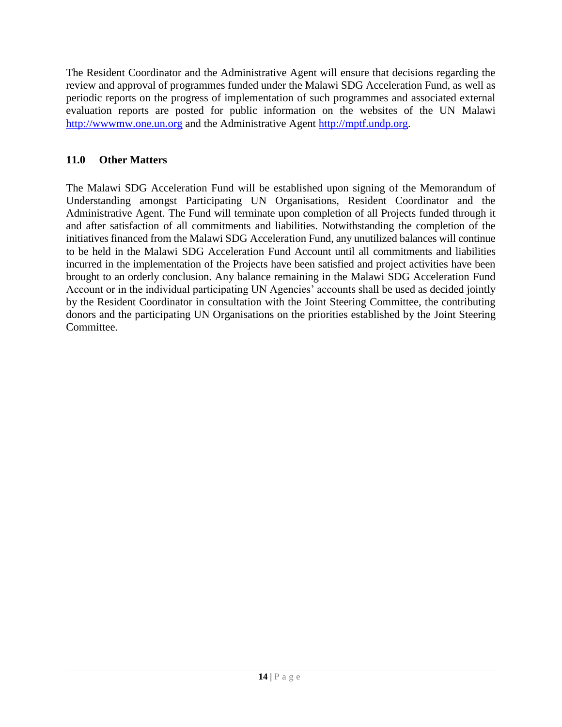The Resident Coordinator and the Administrative Agent will ensure that decisions regarding the review and approval of programmes funded under the Malawi SDG Acceleration Fund, as well as periodic reports on the progress of implementation of such programmes and associated external evaluation reports are posted for public information on the websites of the UN Malawi [http://wwwmw.one.un.org](http://wwwmw.one.un.org/) and the Administrative Agent [http://mptf.undp.org.](http://mptf.undp.org/)

## <span id="page-13-0"></span>**11.0 Other Matters**

The Malawi SDG Acceleration Fund will be established upon signing of the Memorandum of Understanding amongst Participating UN Organisations, Resident Coordinator and the Administrative Agent. The Fund will terminate upon completion of all Projects funded through it and after satisfaction of all commitments and liabilities. Notwithstanding the completion of the initiatives financed from the Malawi SDG Acceleration Fund, any unutilized balances will continue to be held in the Malawi SDG Acceleration Fund Account until all commitments and liabilities incurred in the implementation of the Projects have been satisfied and project activities have been brought to an orderly conclusion. Any balance remaining in the Malawi SDG Acceleration Fund Account or in the individual participating UN Agencies' accounts shall be used as decided jointly by the Resident Coordinator in consultation with the Joint Steering Committee, the contributing donors and the participating UN Organisations on the priorities established by the Joint Steering Committee.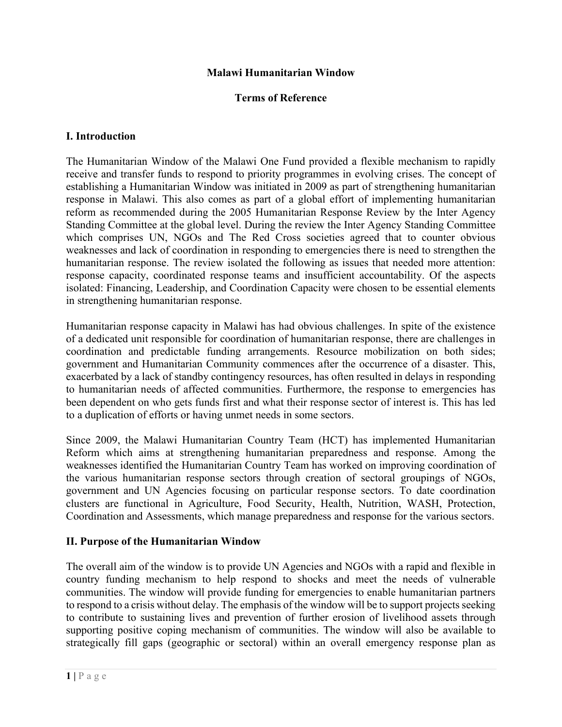#### **Malawi Humanitarian Window**

#### **Terms of Reference**

#### **I. Introduction**

The Humanitarian Window of the Malawi One Fund provided a flexible mechanism to rapidly receive and transfer funds to respond to priority programmes in evolving crises. The concept of establishing a Humanitarian Window was initiated in 2009 as part of strengthening humanitarian response in Malawi. This also comes as part of a global effort of implementing humanitarian reform as recommended during the 2005 Humanitarian Response Review by the Inter Agency Standing Committee at the global level. During the review the Inter Agency Standing Committee which comprises UN, NGOs and The Red Cross societies agreed that to counter obvious weaknesses and lack of coordination in responding to emergencies there is need to strengthen the humanitarian response. The review isolated the following as issues that needed more attention: response capacity, coordinated response teams and insufficient accountability. Of the aspects isolated: Financing, Leadership, and Coordination Capacity were chosen to be essential elements in strengthening humanitarian response.

Humanitarian response capacity in Malawi has had obvious challenges. In spite of the existence of a dedicated unit responsible for coordination of humanitarian response, there are challenges in coordination and predictable funding arrangements. Resource mobilization on both sides; government and Humanitarian Community commences after the occurrence of a disaster. This, exacerbated by a lack of standby contingency resources, has often resulted in delays in responding to humanitarian needs of affected communities. Furthermore, the response to emergencies has been dependent on who gets funds first and what their response sector of interest is. This has led to a duplication of efforts or having unmet needs in some sectors.

Since 2009, the Malawi Humanitarian Country Team (HCT) has implemented Humanitarian Reform which aims at strengthening humanitarian preparedness and response. Among the weaknesses identified the Humanitarian Country Team has worked on improving coordination of the various humanitarian response sectors through creation of sectoral groupings of NGOs, government and UN Agencies focusing on particular response sectors. To date coordination clusters are functional in Agriculture, Food Security, Health, Nutrition, WASH, Protection, Coordination and Assessments, which manage preparedness and response for the various sectors.

#### **II. Purpose of the Humanitarian Window**

The overall aim of the window is to provide UN Agencies and NGOs with a rapid and flexible in country funding mechanism to help respond to shocks and meet the needs of vulnerable communities. The window will provide funding for emergencies to enable humanitarian partners to respond to a crisis without delay. The emphasis of the window will be to support projects seeking to contribute to sustaining lives and prevention of further erosion of livelihood assets through supporting positive coping mechanism of communities. The window will also be available to strategically fill gaps (geographic or sectoral) within an overall emergency response plan as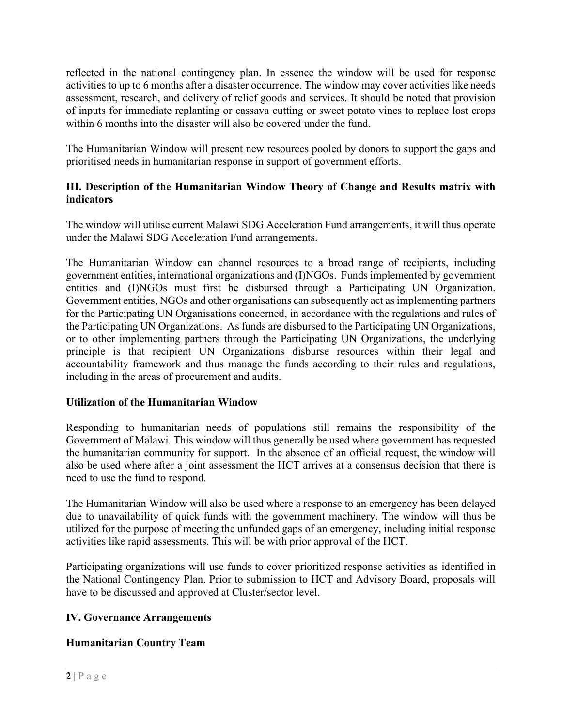reflected in the national contingency plan. In essence the window will be used for response activities to up to 6 months after a disaster occurrence. The window may cover activities like needs assessment, research, and delivery of relief goods and services. It should be noted that provision of inputs for immediate replanting or cassava cutting or sweet potato vines to replace lost crops within 6 months into the disaster will also be covered under the fund.

The Humanitarian Window will present new resources pooled by donors to support the gaps and prioritised needs in humanitarian response in support of government efforts.

#### **III. Description of the Humanitarian Window Theory of Change and Results matrix with indicators**

The window will utilise current Malawi SDG Acceleration Fund arrangements, it will thus operate under the Malawi SDG Acceleration Fund arrangements.

The Humanitarian Window can channel resources to a broad range of recipients, including government entities, international organizations and (I)NGOs. Funds implemented by government entities and (I)NGOs must first be disbursed through a Participating UN Organization. Government entities, NGOs and other organisations can subsequently act as implementing partners for the Participating UN Organisations concerned, in accordance with the regulations and rules of the Participating UN Organizations. As funds are disbursed to the Participating UN Organizations, or to other implementing partners through the Participating UN Organizations, the underlying principle is that recipient UN Organizations disburse resources within their legal and accountability framework and thus manage the funds according to their rules and regulations, including in the areas of procurement and audits.

#### **Utilization of the Humanitarian Window**

Responding to humanitarian needs of populations still remains the responsibility of the Government of Malawi. This window will thus generally be used where government has requested the humanitarian community for support. In the absence of an official request, the window will also be used where after a joint assessment the HCT arrives at a consensus decision that there is need to use the fund to respond.

The Humanitarian Window will also be used where a response to an emergency has been delayed due to unavailability of quick funds with the government machinery. The window will thus be utilized for the purpose of meeting the unfunded gaps of an emergency, including initial response activities like rapid assessments. This will be with prior approval of the HCT.

Participating organizations will use funds to cover prioritized response activities as identified in the National Contingency Plan. Prior to submission to HCT and Advisory Board, proposals will have to be discussed and approved at Cluster/sector level.

#### **IV. Governance Arrangements**

## **Humanitarian Country Team**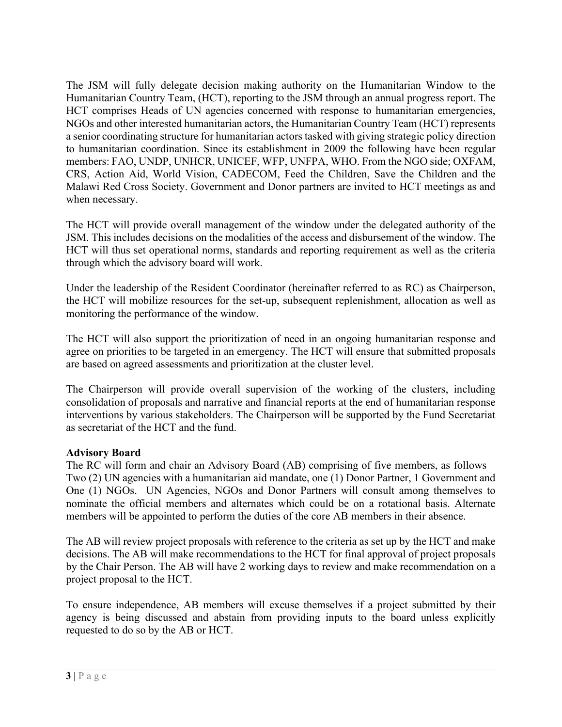The JSM will fully delegate decision making authority on the Humanitarian Window to the Humanitarian Country Team, (HCT), reporting to the JSM through an annual progress report. The HCT comprises Heads of UN agencies concerned with response to humanitarian emergencies, NGOs and other interested humanitarian actors, the Humanitarian Country Team (HCT) represents a senior coordinating structure for humanitarian actors tasked with giving strategic policy direction to humanitarian coordination. Since its establishment in 2009 the following have been regular members: FAO, UNDP, UNHCR, UNICEF, WFP, UNFPA, WHO. From the NGO side; OXFAM, CRS, Action Aid, World Vision, CADECOM, Feed the Children, Save the Children and the Malawi Red Cross Society. Government and Donor partners are invited to HCT meetings as and when necessary.

The HCT will provide overall management of the window under the delegated authority of the JSM. This includes decisions on the modalities of the access and disbursement of the window. The HCT will thus set operational norms, standards and reporting requirement as well as the criteria through which the advisory board will work.

Under the leadership of the Resident Coordinator (hereinafter referred to as RC) as Chairperson, the HCT will mobilize resources for the set-up, subsequent replenishment, allocation as well as monitoring the performance of the window.

The HCT will also support the prioritization of need in an ongoing humanitarian response and agree on priorities to be targeted in an emergency. The HCT will ensure that submitted proposals are based on agreed assessments and prioritization at the cluster level.

The Chairperson will provide overall supervision of the working of the clusters, including consolidation of proposals and narrative and financial reports at the end of humanitarian response interventions by various stakeholders. The Chairperson will be supported by the Fund Secretariat as secretariat of the HCT and the fund.

#### **Advisory Board**

The RC will form and chair an Advisory Board (AB) comprising of five members, as follows – Two (2) UN agencies with a humanitarian aid mandate, one (1) Donor Partner, 1 Government and One (1) NGOs. UN Agencies, NGOs and Donor Partners will consult among themselves to nominate the official members and alternates which could be on a rotational basis. Alternate members will be appointed to perform the duties of the core AB members in their absence.

The AB will review project proposals with reference to the criteria as set up by the HCT and make decisions. The AB will make recommendations to the HCT for final approval of project proposals by the Chair Person. The AB will have 2 working days to review and make recommendation on a project proposal to the HCT.

To ensure independence, AB members will excuse themselves if a project submitted by their agency is being discussed and abstain from providing inputs to the board unless explicitly requested to do so by the AB or HCT.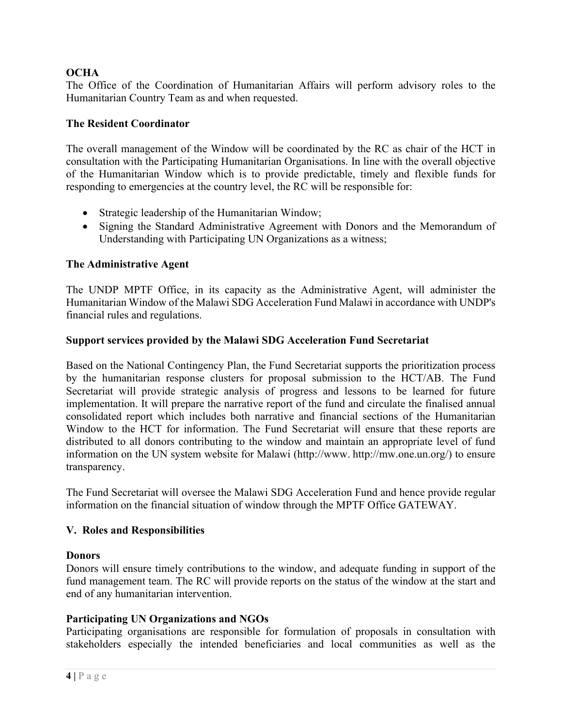#### **OCHA**

The Office of the Coordination of Humanitarian Affairs will perform advisory roles to the Humanitarian Country Team as and when requested.

#### **The Resident Coordinator**

The overall management of the Window will be coordinated by the RC as chair of the HCT in consultation with the Participating Humanitarian Organisations. In line with the overall objective of the Humanitarian Window which is to provide predictable, timely and flexible funds for responding to emergencies at the country level, the RC will be responsible for:

- Strategic leadership of the Humanitarian Window;
- Signing the Standard Administrative Agreement with Donors and the Memorandum of Understanding with Participating UN Organizations as a witness;

#### **The Administrative Agent**

The UNDP MPTF Office, in its capacity as the Administrative Agent, will administer the Humanitarian Window of the Malawi SDG Acceleration Fund Malawi in accordance with UNDP's financial rules and regulations.

#### **Support services provided by the Malawi SDG Acceleration Fund Secretariat**

Based on the National Contingency Plan, the Fund Secretariat supports the prioritization process by the humanitarian response clusters for proposal submission to the HCT/AB. The Fund Secretariat will provide strategic analysis of progress and lessons to be learned for future implementation. It will prepare the narrative report of the fund and circulate the finalised annual consolidated report which includes both narrative and financial sections of the Humanitarian Window to the HCT for information. The Fund Secretariat will ensure that these reports are distributed to all donors contributing to the window and maintain an appropriate level of fund information on the UN system website for Malawi (http://www. http://mw.one.un.org/) to ensure transparency.

The Fund Secretariat will oversee the Malawi SDG Acceleration Fund and hence provide regular information on the financial situation of window through the MPTF Office GATEWAY.

#### **V. Roles and Responsibilities**

#### **Donors**

Donors will ensure timely contributions to the window, and adequate funding in support of the fund management team. The RC will provide reports on the status of the window at the start and end of any humanitarian intervention.

#### **Participating UN Organizations and NGOs**

Participating organisations are responsible for formulation of proposals in consultation with stakeholders especially the intended beneficiaries and local communities as well as the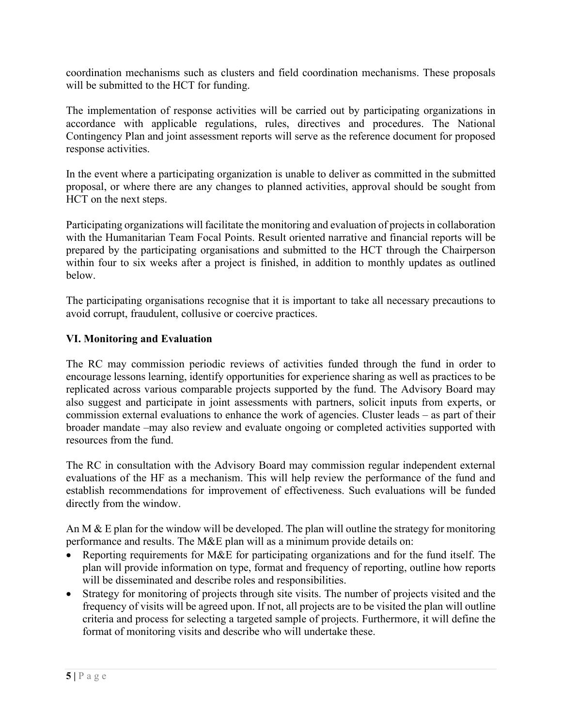coordination mechanisms such as clusters and field coordination mechanisms. These proposals will be submitted to the HCT for funding.

The implementation of response activities will be carried out by participating organizations in accordance with applicable regulations, rules, directives and procedures. The National Contingency Plan and joint assessment reports will serve as the reference document for proposed response activities.

In the event where a participating organization is unable to deliver as committed in the submitted proposal, or where there are any changes to planned activities, approval should be sought from HCT on the next steps.

Participating organizations will facilitate the monitoring and evaluation of projects in collaboration with the Humanitarian Team Focal Points. Result oriented narrative and financial reports will be prepared by the participating organisations and submitted to the HCT through the Chairperson within four to six weeks after a project is finished, in addition to monthly updates as outlined below.

The participating organisations recognise that it is important to take all necessary precautions to avoid corrupt, fraudulent, collusive or coercive practices.

#### **VI. Monitoring and Evaluation**

The RC may commission periodic reviews of activities funded through the fund in order to encourage lessons learning, identify opportunities for experience sharing as well as practices to be replicated across various comparable projects supported by the fund. The Advisory Board may also suggest and participate in joint assessments with partners, solicit inputs from experts, or commission external evaluations to enhance the work of agencies. Cluster leads – as part of their broader mandate –may also review and evaluate ongoing or completed activities supported with resources from the fund.

The RC in consultation with the Advisory Board may commission regular independent external evaluations of the HF as a mechanism. This will help review the performance of the fund and establish recommendations for improvement of effectiveness. Such evaluations will be funded directly from the window.

An M & E plan for the window will be developed. The plan will outline the strategy for monitoring performance and results. The M&E plan will as a minimum provide details on:

- Reporting requirements for M&E for participating organizations and for the fund itself. The plan will provide information on type, format and frequency of reporting, outline how reports will be disseminated and describe roles and responsibilities.
- Strategy for monitoring of projects through site visits. The number of projects visited and the frequency of visits will be agreed upon. If not, all projects are to be visited the plan will outline criteria and process for selecting a targeted sample of projects. Furthermore, it will define the format of monitoring visits and describe who will undertake these.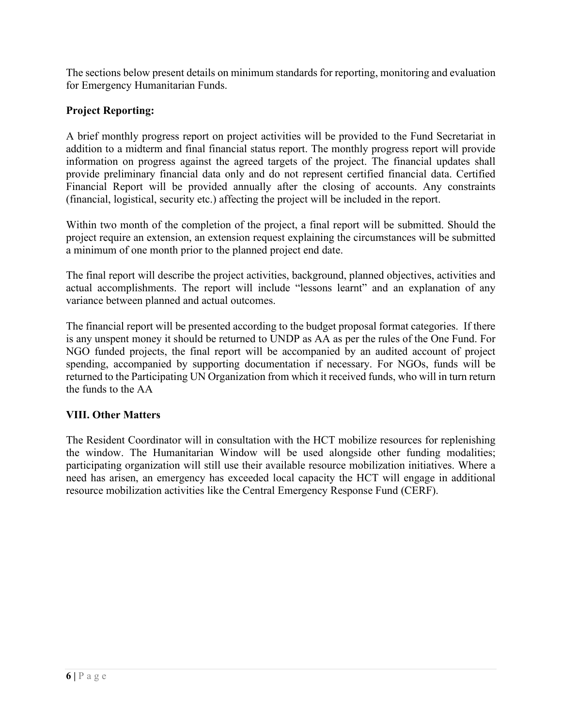The sections below present details on minimum standards for reporting, monitoring and evaluation for Emergency Humanitarian Funds.

#### **Project Reporting:**

A brief monthly progress report on project activities will be provided to the Fund Secretariat in addition to a midterm and final financial status report. The monthly progress report will provide information on progress against the agreed targets of the project. The financial updates shall provide preliminary financial data only and do not represent certified financial data. Certified Financial Report will be provided annually after the closing of accounts. Any constraints (financial, logistical, security etc.) affecting the project will be included in the report.

Within two month of the completion of the project, a final report will be submitted. Should the project require an extension, an extension request explaining the circumstances will be submitted a minimum of one month prior to the planned project end date.

The final report will describe the project activities, background, planned objectives, activities and actual accomplishments. The report will include "lessons learnt" and an explanation of any variance between planned and actual outcomes.

The financial report will be presented according to the budget proposal format categories. If there is any unspent money it should be returned to UNDP as AA as per the rules of the One Fund. For NGO funded projects, the final report will be accompanied by an audited account of project spending, accompanied by supporting documentation if necessary. For NGOs, funds will be returned to the Participating UN Organization from which it received funds, who will in turn return the funds to the AA

#### **VIII. Other Matters**

The Resident Coordinator will in consultation with the HCT mobilize resources for replenishing the window. The Humanitarian Window will be used alongside other funding modalities; participating organization will still use their available resource mobilization initiatives. Where a need has arisen, an emergency has exceeded local capacity the HCT will engage in additional resource mobilization activities like the Central Emergency Response Fund (CERF).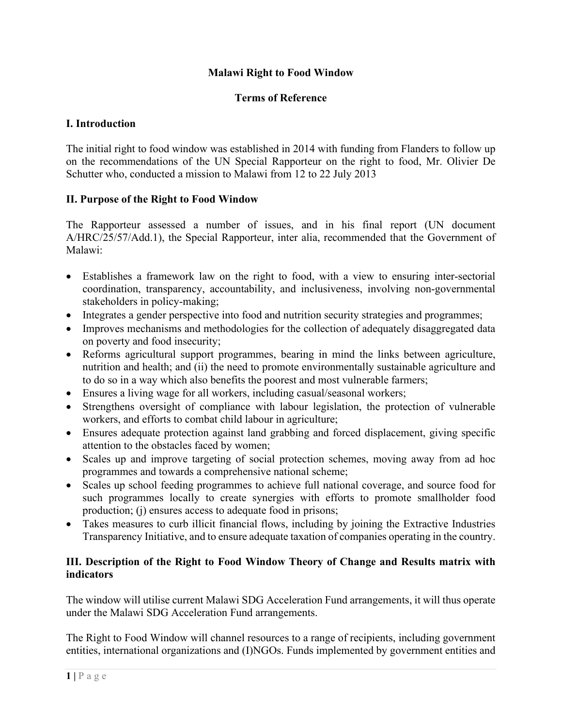#### **Malawi Right to Food Window**

#### **Terms of Reference**

#### **I. Introduction**

The initial right to food window was established in 2014 with funding from Flanders to follow up on the recommendations of the UN Special Rapporteur on the right to food, Mr. Olivier De Schutter who, conducted a mission to Malawi from 12 to 22 July 2013

#### **II. Purpose of the Right to Food Window**

The Rapporteur assessed a number of issues, and in his final report (UN document A/HRC/25/57/Add.1), the Special Rapporteur, inter alia, recommended that the Government of Malawi:

- Establishes a framework law on the right to food, with a view to ensuring inter-sectorial coordination, transparency, accountability, and inclusiveness, involving non-governmental stakeholders in policy-making;
- Integrates a gender perspective into food and nutrition security strategies and programmes;
- Improves mechanisms and methodologies for the collection of adequately disaggregated data on poverty and food insecurity;
- Reforms agricultural support programmes, bearing in mind the links between agriculture, nutrition and health; and (ii) the need to promote environmentally sustainable agriculture and to do so in a way which also benefits the poorest and most vulnerable farmers;
- Ensures a living wage for all workers, including casual/seasonal workers;
- Strengthens oversight of compliance with labour legislation, the protection of vulnerable workers, and efforts to combat child labour in agriculture;
- Ensures adequate protection against land grabbing and forced displacement, giving specific attention to the obstacles faced by women;
- Scales up and improve targeting of social protection schemes, moving away from ad hoc programmes and towards a comprehensive national scheme;
- Scales up school feeding programmes to achieve full national coverage, and source food for such programmes locally to create synergies with efforts to promote smallholder food production; (j) ensures access to adequate food in prisons;
- Takes measures to curb illicit financial flows, including by joining the Extractive Industries Transparency Initiative, and to ensure adequate taxation of companies operating in the country.

#### **III. Description of the Right to Food Window Theory of Change and Results matrix with indicators**

The window will utilise current Malawi SDG Acceleration Fund arrangements, it will thus operate under the Malawi SDG Acceleration Fund arrangements.

The Right to Food Window will channel resources to a range of recipients, including government entities, international organizations and (I)NGOs. Funds implemented by government entities and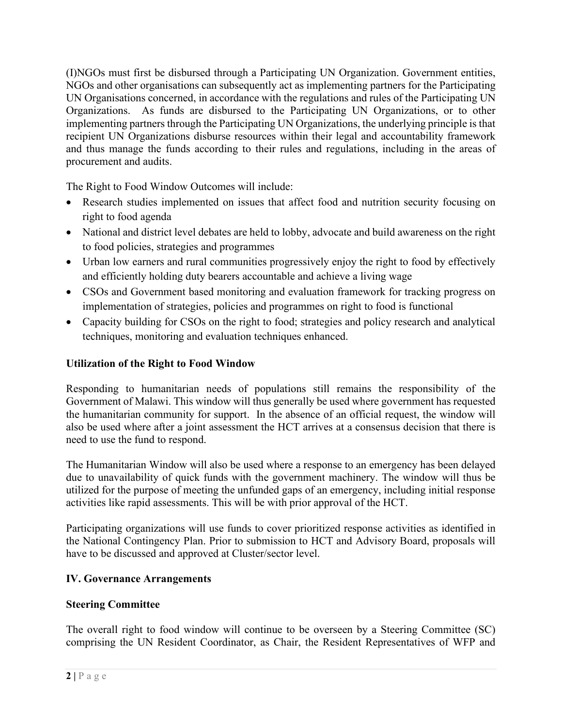(I)NGOs must first be disbursed through a Participating UN Organization. Government entities, NGOs and other organisations can subsequently act as implementing partners for the Participating UN Organisations concerned, in accordance with the regulations and rules of the Participating UN Organizations. As funds are disbursed to the Participating UN Organizations, or to other implementing partners through the Participating UN Organizations, the underlying principle is that recipient UN Organizations disburse resources within their legal and accountability framework and thus manage the funds according to their rules and regulations, including in the areas of procurement and audits.

The Right to Food Window Outcomes will include:

- Research studies implemented on issues that affect food and nutrition security focusing on right to food agenda
- National and district level debates are held to lobby, advocate and build awareness on the right to food policies, strategies and programmes
- Urban low earners and rural communities progressively enjoy the right to food by effectively and efficiently holding duty bearers accountable and achieve a living wage
- CSOs and Government based monitoring and evaluation framework for tracking progress on implementation of strategies, policies and programmes on right to food is functional
- Capacity building for CSOs on the right to food; strategies and policy research and analytical techniques, monitoring and evaluation techniques enhanced.

#### **Utilization of the Right to Food Window**

Responding to humanitarian needs of populations still remains the responsibility of the Government of Malawi. This window will thus generally be used where government has requested the humanitarian community for support. In the absence of an official request, the window will also be used where after a joint assessment the HCT arrives at a consensus decision that there is need to use the fund to respond.

The Humanitarian Window will also be used where a response to an emergency has been delayed due to unavailability of quick funds with the government machinery. The window will thus be utilized for the purpose of meeting the unfunded gaps of an emergency, including initial response activities like rapid assessments. This will be with prior approval of the HCT.

Participating organizations will use funds to cover prioritized response activities as identified in the National Contingency Plan. Prior to submission to HCT and Advisory Board, proposals will have to be discussed and approved at Cluster/sector level.

#### **IV. Governance Arrangements**

#### **Steering Committee**

The overall right to food window will continue to be overseen by a Steering Committee (SC) comprising the UN Resident Coordinator, as Chair, the Resident Representatives of WFP and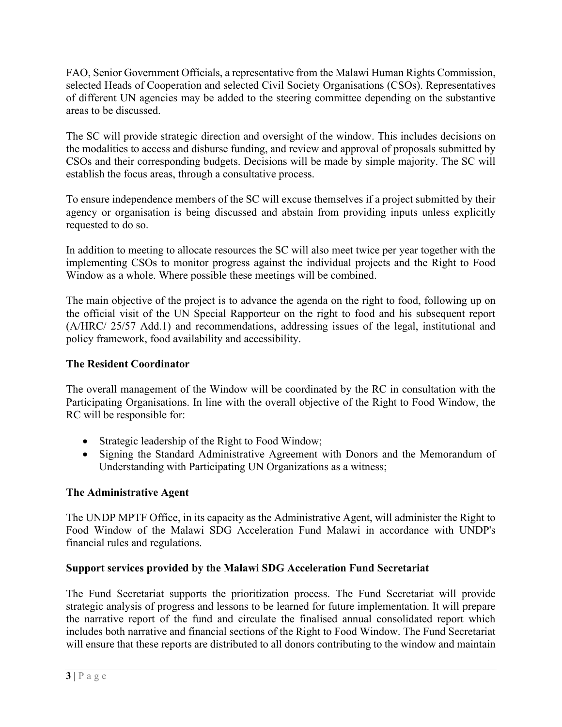FAO, Senior Government Officials, a representative from the Malawi Human Rights Commission, selected Heads of Cooperation and selected Civil Society Organisations (CSOs). Representatives of different UN agencies may be added to the steering committee depending on the substantive areas to be discussed.

The SC will provide strategic direction and oversight of the window. This includes decisions on the modalities to access and disburse funding, and review and approval of proposals submitted by CSOs and their corresponding budgets. Decisions will be made by simple majority. The SC will establish the focus areas, through a consultative process.

To ensure independence members of the SC will excuse themselves if a project submitted by their agency or organisation is being discussed and abstain from providing inputs unless explicitly requested to do so.

In addition to meeting to allocate resources the SC will also meet twice per year together with the implementing CSOs to monitor progress against the individual projects and the Right to Food Window as a whole. Where possible these meetings will be combined.

The main objective of the project is to advance the agenda on the right to food, following up on the official visit of the UN Special Rapporteur on the right to food and his subsequent report (A/HRC/ 25/57 Add.1) and recommendations, addressing issues of the legal, institutional and policy framework, food availability and accessibility.

#### **The Resident Coordinator**

The overall management of the Window will be coordinated by the RC in consultation with the Participating Organisations. In line with the overall objective of the Right to Food Window, the RC will be responsible for:

- Strategic leadership of the Right to Food Window;
- Signing the Standard Administrative Agreement with Donors and the Memorandum of Understanding with Participating UN Organizations as a witness;

## **The Administrative Agent**

The UNDP MPTF Office, in its capacity as the Administrative Agent, will administer the Right to Food Window of the Malawi SDG Acceleration Fund Malawi in accordance with UNDP's financial rules and regulations.

#### **Support services provided by the Malawi SDG Acceleration Fund Secretariat**

The Fund Secretariat supports the prioritization process. The Fund Secretariat will provide strategic analysis of progress and lessons to be learned for future implementation. It will prepare the narrative report of the fund and circulate the finalised annual consolidated report which includes both narrative and financial sections of the Right to Food Window. The Fund Secretariat will ensure that these reports are distributed to all donors contributing to the window and maintain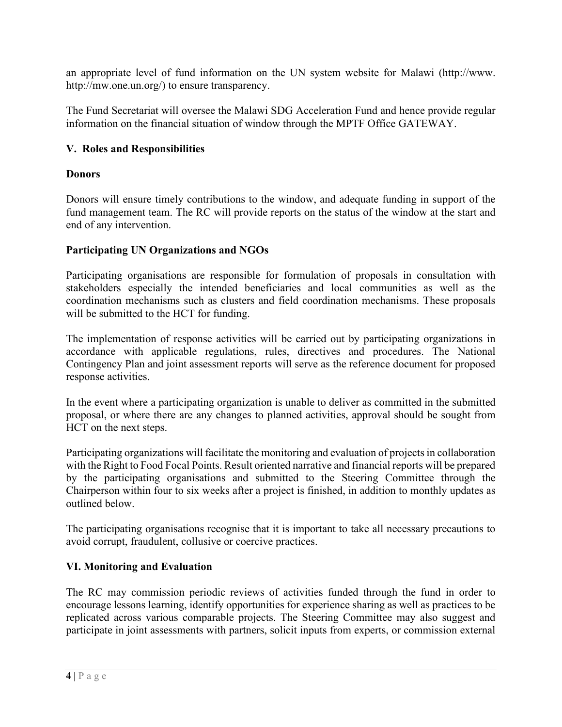an appropriate level of fund information on the UN system website for Malawi (http://www. http://mw.one.un.org/) to ensure transparency.

The Fund Secretariat will oversee the Malawi SDG Acceleration Fund and hence provide regular information on the financial situation of window through the MPTF Office GATEWAY.

#### **V. Roles and Responsibilities**

#### **Donors**

Donors will ensure timely contributions to the window, and adequate funding in support of the fund management team. The RC will provide reports on the status of the window at the start and end of any intervention.

#### **Participating UN Organizations and NGOs**

Participating organisations are responsible for formulation of proposals in consultation with stakeholders especially the intended beneficiaries and local communities as well as the coordination mechanisms such as clusters and field coordination mechanisms. These proposals will be submitted to the HCT for funding.

The implementation of response activities will be carried out by participating organizations in accordance with applicable regulations, rules, directives and procedures. The National Contingency Plan and joint assessment reports will serve as the reference document for proposed response activities.

In the event where a participating organization is unable to deliver as committed in the submitted proposal, or where there are any changes to planned activities, approval should be sought from HCT on the next steps.

Participating organizations will facilitate the monitoring and evaluation of projects in collaboration with the Right to Food Focal Points. Result oriented narrative and financial reports will be prepared by the participating organisations and submitted to the Steering Committee through the Chairperson within four to six weeks after a project is finished, in addition to monthly updates as outlined below.

The participating organisations recognise that it is important to take all necessary precautions to avoid corrupt, fraudulent, collusive or coercive practices.

#### **VI. Monitoring and Evaluation**

The RC may commission periodic reviews of activities funded through the fund in order to encourage lessons learning, identify opportunities for experience sharing as well as practices to be replicated across various comparable projects. The Steering Committee may also suggest and participate in joint assessments with partners, solicit inputs from experts, or commission external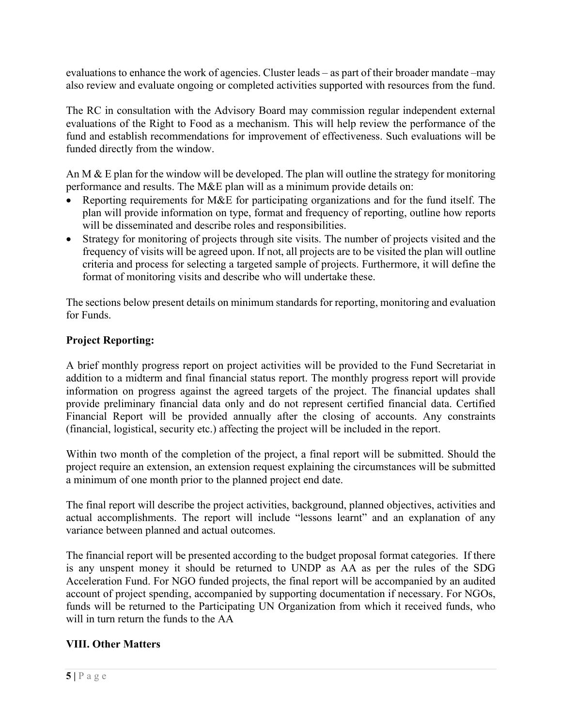evaluations to enhance the work of agencies. Cluster leads – as part of their broader mandate –may also review and evaluate ongoing or completed activities supported with resources from the fund.

The RC in consultation with the Advisory Board may commission regular independent external evaluations of the Right to Food as a mechanism. This will help review the performance of the fund and establish recommendations for improvement of effectiveness. Such evaluations will be funded directly from the window.

An M  $\&$  E plan for the window will be developed. The plan will outline the strategy for monitoring performance and results. The M&E plan will as a minimum provide details on:

- Reporting requirements for M&E for participating organizations and for the fund itself. The plan will provide information on type, format and frequency of reporting, outline how reports will be disseminated and describe roles and responsibilities.
- Strategy for monitoring of projects through site visits. The number of projects visited and the frequency of visits will be agreed upon. If not, all projects are to be visited the plan will outline criteria and process for selecting a targeted sample of projects. Furthermore, it will define the format of monitoring visits and describe who will undertake these.

The sections below present details on minimum standards for reporting, monitoring and evaluation for Funds.

## **Project Reporting:**

A brief monthly progress report on project activities will be provided to the Fund Secretariat in addition to a midterm and final financial status report. The monthly progress report will provide information on progress against the agreed targets of the project. The financial updates shall provide preliminary financial data only and do not represent certified financial data. Certified Financial Report will be provided annually after the closing of accounts. Any constraints (financial, logistical, security etc.) affecting the project will be included in the report.

Within two month of the completion of the project, a final report will be submitted. Should the project require an extension, an extension request explaining the circumstances will be submitted a minimum of one month prior to the planned project end date.

The final report will describe the project activities, background, planned objectives, activities and actual accomplishments. The report will include "lessons learnt" and an explanation of any variance between planned and actual outcomes.

The financial report will be presented according to the budget proposal format categories. If there is any unspent money it should be returned to UNDP as AA as per the rules of the SDG Acceleration Fund. For NGO funded projects, the final report will be accompanied by an audited account of project spending, accompanied by supporting documentation if necessary. For NGOs, funds will be returned to the Participating UN Organization from which it received funds, who will in turn return the funds to the AA

## **VIII. Other Matters**